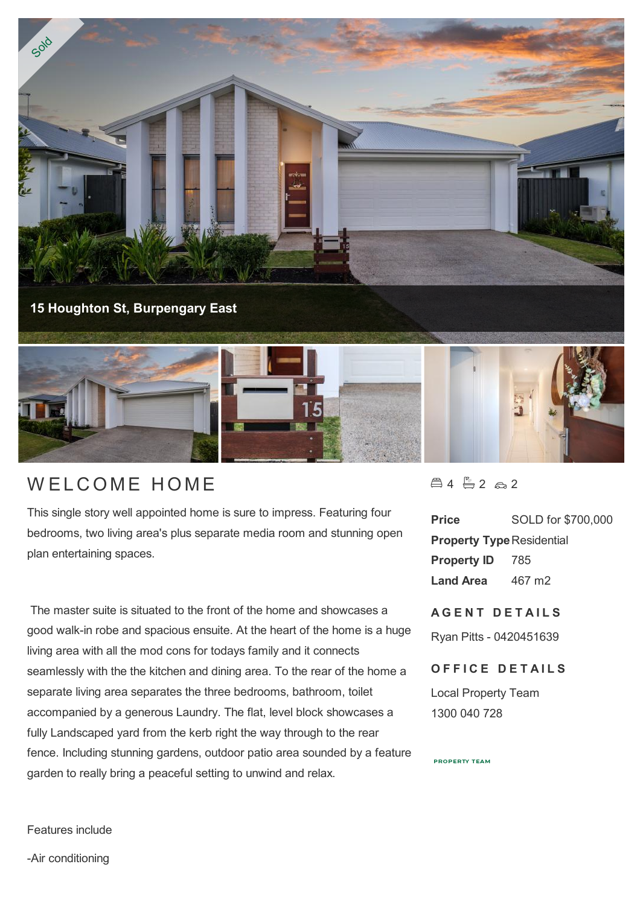

## WELCOME HOME

This single story well appointed home is sure to impress. Featuring four bedrooms, two living area's plus separate media room and stunning open plan entertaining spaces.

 The master suite is situated to the front of the home and showcases a good walk-in robe and spacious ensuite. At the heart of the home is a huge living area with all the mod cons for todays family and it connects seamlessly with the the kitchen and dining area. To the rear of the home a separate living area separates the three bedrooms, bathroom, toilet accompanied by a generous Laundry. The flat, level block showcases a fully Landscaped yard from the kerb right the way through to the rear fence. Including stunning gardens, outdoor patio area sounded by a feature garden to really bring a peaceful setting to unwind and relax.

 $4 - 2 - 2$ 

**Price** SOLD for \$700,000 **Property Type Residential Property ID** 785 **Land Area** 467 m2

**A G E N T D E T A I L S** Ryan Pitts - 0420451639

**OFFICE DETAILS** 

Local Property Team 1300 040 728

**PROPERTY TEAM** 

Features include

-Air conditioning